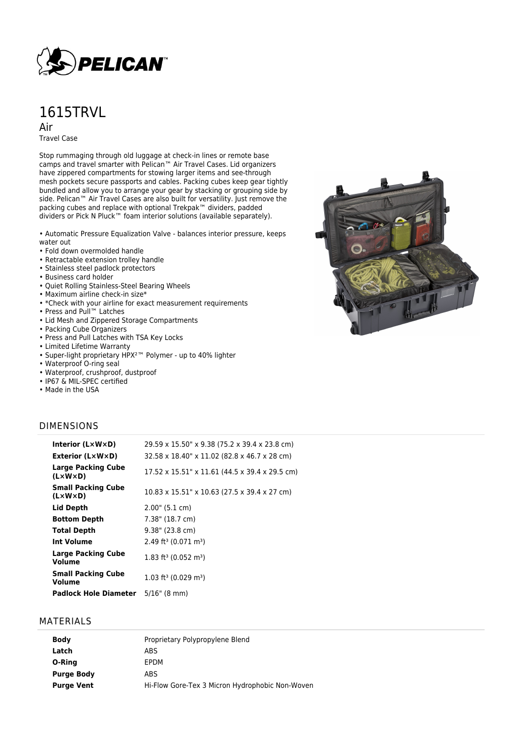

# 1615TRVL

Air

Travel Case

Stop rummaging through old luggage at check-in lines or remote base camps and travel smarter with Pelican™ Air Travel Cases. Lid organizers have zippered compartments for stowing larger items and see-through mesh pockets secure passports and cables. Packing cubes keep gear tightly bundled and allow you to arrange your gear by stacking or grouping side by side. Pelican™ Air Travel Cases are also built for versatility. Just remove the packing cubes and replace with optional Trekpak™ dividers, padded dividers or Pick N Pluck™ foam interior solutions (available separately).

• Automatic Pressure Equalization Valve - balances interior pressure, keeps water out

- Fold down overmolded handle
- Retractable extension trolley handle
- Stainless steel padlock protectors
- Business card holder
- Quiet Rolling Stainless-Steel Bearing Wheels
- Maximum airline check-in size\*
- \*Check with your airline for exact measurement requirements
- Press and Pull™ Latches
- Lid Mesh and Zippered Storage Compartments
- Packing Cube Organizers
- Press and Pull Latches with TSA Key Locks
- Limited Lifetime Warranty • Super-light proprietary HPX²™ Polymer - up to 40% lighter
- 
- Waterproof O-ring seal • Waterproof, crushproof, dustproof
- IP67 & MIL-SPEC certified
- Made in the USA



#### DIMENSIONS

| Interior (LxWxD)                                     | 29.59 x 15.50" x 9.38 (75.2 x 39.4 x 23.8 cm)  |
|------------------------------------------------------|------------------------------------------------|
| <b>Exterior (L×W×D)</b>                              | 32.58 x 18.40" x 11.02 (82.8 x 46.7 x 28 cm)   |
| Large Packing Cube<br>(LxWxD)                        | 17.52 x 15.51" x 11.61 (44.5 x 39.4 x 29.5 cm) |
| <b>Small Packing Cube</b><br>$(L \times W \times D)$ | 10.83 x 15.51" x 10.63 (27.5 x 39.4 x 27 cm)   |
| Lid Depth                                            | 2.00" (5.1 cm)                                 |
| <b>Bottom Depth</b>                                  | 7.38" (18.7 cm)                                |
| <b>Total Depth</b>                                   | 9.38" (23.8 cm)                                |
| Int Volume                                           | 2.49 ft <sup>3</sup> (0.071 m <sup>3</sup> )   |
| Large Packing Cube<br>Volume                         | 1.83 ft <sup>3</sup> (0.052 m <sup>3</sup> )   |
| <b>Small Packing Cube</b><br>Volume                  | $1.03$ ft <sup>3</sup> (0.029 m <sup>3</sup> ) |
| Padlock Hole Diameter                                | $5/16$ " (8 mm)                                |

#### MATERIALS

| Proprietary Polypropylene Blend                 |
|-------------------------------------------------|
| ABS                                             |
| EPDM                                            |
| ABS.                                            |
| Hi-Flow Gore-Tex 3 Micron Hydrophobic Non-Woven |
|                                                 |